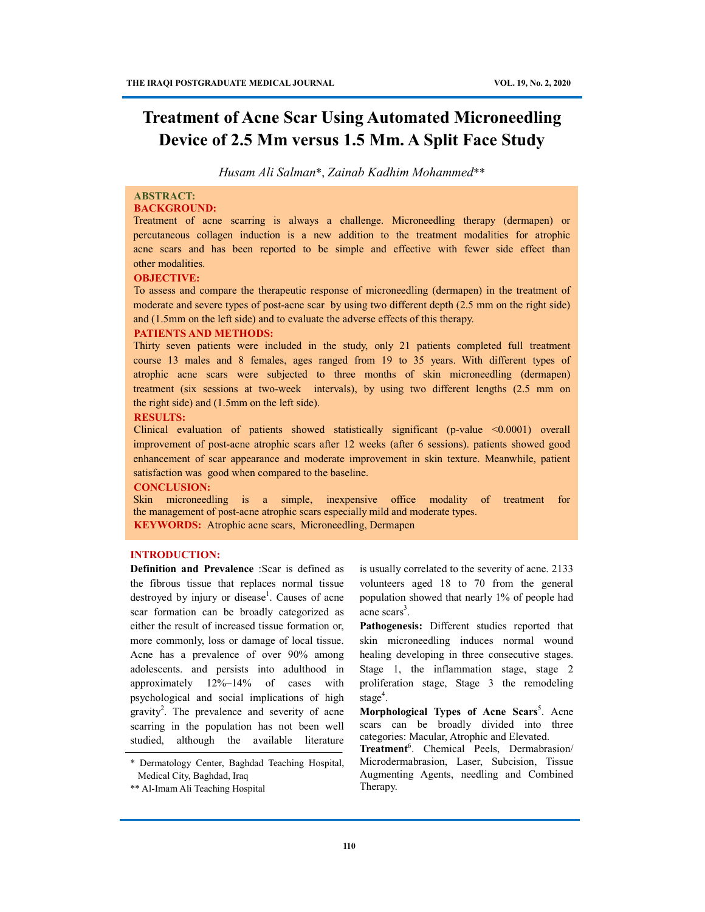# **Treatment of Acne Scar Using Automated Microneedling Device of 2.5 Mm versus 1.5 Mm. A Split Face Study**

*Husam Ali Salman*\*, *Zainab Kadhim Mohammed*\*\*

# **ABSTRACT:**

# **BACKGROUND:**

Treatment of acne scarring is always a challenge. Microneedling therapy (dermapen) or percutaneous collagen induction is a new addition to the treatment modalities for atrophic acne scars and has been reported to be simple and effective with fewer side effect than other modalities.

#### **OBJECTIVE:**

To assess and compare the therapeutic response of microneedling (dermapen) in the treatment of moderate and severe types of post-acne scar by using two different depth (2.5 mm on the right side) and (1.5mm on the left side) and to evaluate the adverse effects of this therapy.

#### **PATIENTS AND METHODS:**

Thirty seven patients were included in the study, only 21 patients completed full treatment course 13 males and 8 females, ages ranged from 19 to 35 years. With different types of atrophic acne scars were subjected to three months of skin microneedling (dermapen) treatment (six sessions at two-week intervals), by using two different lengths (2.5 mm on the right side) and (1.5mm on the left side).

#### **RESULTS:**

Clinical evaluation of patients showed statistically significant (p-value <0.0001) overall improvement of post-acne atrophic scars after 12 weeks (after 6 sessions). patients showed good enhancement of scar appearance and moderate improvement in skin texture. Meanwhile, patient satisfaction was good when compared to the baseline.

### **CONCLUSION:**

Skin microneedling is a simple, inexpensive office modality of treatment for the management of post-acne atrophic scars especially mild and moderate types. **KEYWORDS:** Atrophic acne scars, Microneedling, Dermapen

#### **INTRODUCTION:**

**Definition and Prevalence** :Scar is defined as the fibrous tissue that replaces normal tissue destroyed by injury or disease<sup>1</sup>. Causes of acne scar formation can be broadly categorized as either the result of increased tissue formation or, more commonly, loss or damage of local tissue. Acne has a prevalence of over 90% among adolescents. and persists into adulthood in approximately 12%–14% of cases with psychological and social implications of high  $gravity<sup>2</sup>$ . The prevalence and severity of acne scarring in the population has not been well studied, although the available literature

\* Dermatology Center, Baghdad Teaching Hospital, Medical City, Baghdad, Iraq

is usually correlated to the severity of acne. 2133 volunteers aged 18 to 70 from the general population showed that nearly 1% of people had acne scars<sup>3</sup>.

**Pathogenesis:** Different studies reported that skin microneedling induces normal wound healing developing in three consecutive stages. Stage 1, the inflammation stage, stage 2 proliferation stage, Stage 3 the remodeling stage<sup>4</sup>.

**Morphological Types of Acne Scars**<sup>5</sup>. Acne scars can be broadly divided into three categories: Macular, Atrophic and Elevated.

**Treatment**<sup>6</sup> . Chemical Peels, Dermabrasion/ Microdermabrasion, Laser, Subcision, Tissue Augmenting Agents, needling and Combined Therapy.

<sup>\*\*</sup> Al-Imam Ali Teaching Hospital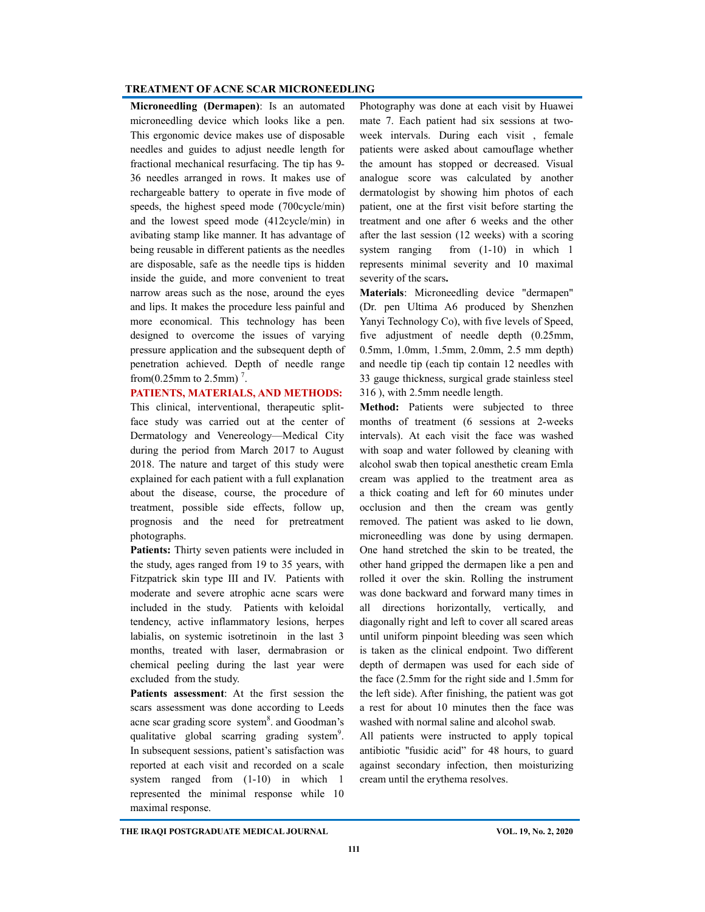**Microneedling (Dermapen)**: Is an automated microneedling device which looks like a pen. This ergonomic device makes use of disposable needles and guides to adjust needle length for fractional mechanical resurfacing. The tip has 9- 36 needles arranged in rows. It makes use of rechargeable battery to operate in five mode of speeds, the highest speed mode (700cycle/min) and the lowest speed mode (412cycle/min) in avibating stamp like manner. It has advantage of being reusable in different patients as the needles are disposable, safe as the needle tips is hidden inside the guide, and more convenient to treat narrow areas such as the nose, around the eyes and lips. It makes the procedure less painful and more economical. This technology has been designed to overcome the issues of varying pressure application and the subsequent depth of penetration achieved. Depth of needle range from(0.25mm to 2.5mm) $^7$ .

# **PATIENTS, MATERIALS, AND METHODS:**

This clinical, interventional, therapeutic splitface study was carried out at the center of Dermatology and Venereology—Medical City during the period from March 2017 to August 2018. The nature and target of this study were explained for each patient with a full explanation about the disease, course, the procedure of treatment, possible side effects, follow up, prognosis and the need for pretreatment photographs.

j chemical peeling during the last year were **Patients:** Thirty seven patients were included in the study, ages ranged from 19 to 35 years, with Fitzpatrick skin type III and IV. Patients with moderate and severe atrophic acne scars were included in the study. Patients with keloidal tendency, active inflammatory lesions, herpes labialis, on systemic isotretinoin in the last 3 months, treated with laser, dermabrasion or excluded from the study.

**Patients assessment**: At the first session the scars assessment was done according to Leeds acne scar grading score system<sup>8</sup>. and Goodman's qualitative global scarring grading system<sup>9</sup>. In subsequent sessions, patient's satisfaction was reported at each visit and recorded on a scale system ranged from (1-10) in which 1 represented the minimal response while 10 maximal response.

Photography was done at each visit by Huawei mate 7. Each patient had six sessions at twoweek intervals. During each visit , female patients were asked about camouflage whether the amount has stopped or decreased. Visual analogue score was calculated by another dermatologist by showing him photos of each patient, one at the first visit before starting the treatment and one after 6 weeks and the other after the last session (12 weeks) with a scoring system ranging from  $(1-10)$  in which 1 represents minimal severity and 10 maximal severity of the scars**.**

**Materials**: Microneedling device "dermapen" (Dr. pen Ultima A6 produced by Shenzhen Yanyi Technology Co), with five levels of Speed, five adjustment of needle depth (0.25mm, 0.5mm, 1.0mm, 1.5mm, 2.0mm, 2.5 mm depth) and needle tip (each tip contain 12 needles with 33 gauge thickness, surgical grade stainless steel 316 ), with 2.5mm needle length.

**Method:** Patients were subjected to three months of treatment (6 sessions at 2-weeks intervals). At each visit the face was washed with soap and water followed by cleaning with alcohol swab then topical anesthetic cream Emla cream was applied to the treatment area as a thick coating and left for 60 minutes under occlusion and then the cream was gently removed. The patient was asked to lie down, microneedling was done by using dermapen. One hand stretched the skin to be treated, the other hand gripped the dermapen like a pen and rolled it over the skin. Rolling the instrument was done backward and forward many times in all directions horizontally, vertically, and diagonally right and left to cover all scared areas until uniform pinpoint bleeding was seen which is taken as the clinical endpoint. Two different depth of dermapen was used for each side of the face (2.5mm for the right side and 1.5mm for the left side). After finishing, the patient was got a rest for about 10 minutes then the face was washed with normal saline and alcohol swab.

All patients were instructed to apply topical antibiotic ''fusidic acid" for 48 hours, to guard against secondary infection, then moisturizing cream until the erythema resolves.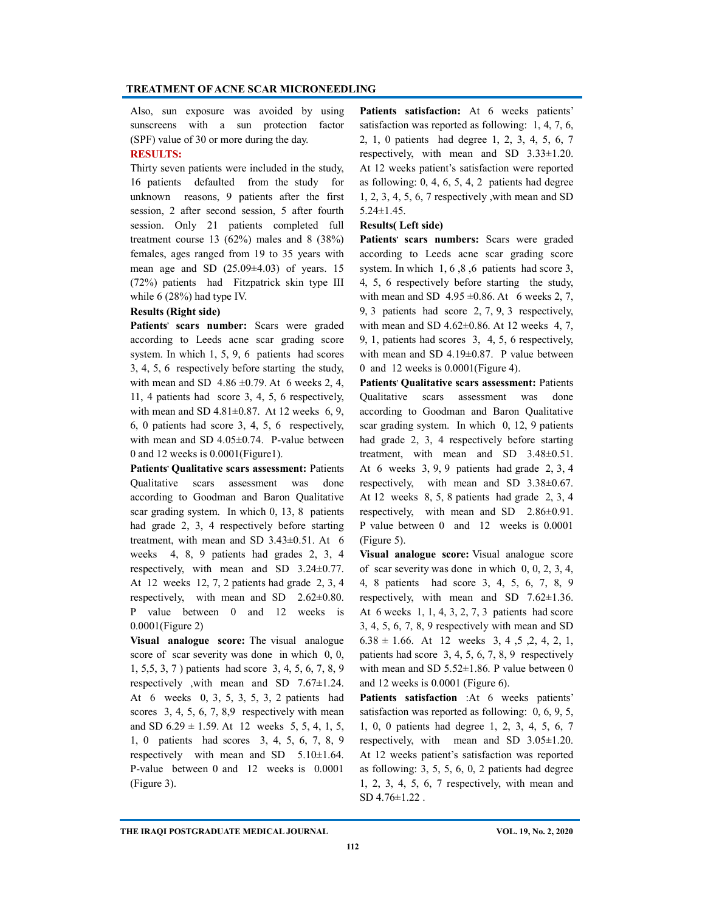Also, sun exposure was avoided by using sunscreens with a sun protection factor (SPF) value of 30 or more during the day.

# **RESULTS:**

Thirty seven patients were included in the study, 16 patients defaulted from the study for unknown reasons, 9 patients after the first session, 2 after second session, 5 after fourth session. Only 21 patients completed full treatment course 13 (62%) males and 8 (38%) females, ages ranged from 19 to 35 years with mean age and SD  $(25.09\pm4.03)$  of years. 15 (72%) patients had Fitzpatrick skin type III while 6 (28%) had type IV.

### **Results (Right side)**

Patients' scars number: Scars were graded according to Leeds acne scar grading score system. In which 1, 5, 9, 6 patients had scores 3, 4, 5, 6 respectively before starting the study, with mean and SD  $4.86 \pm 0.79$ . At 6 weeks 2, 4, 11, 4 patients had score 3, 4, 5, 6 respectively, with mean and SD  $4.81 \pm 0.87$ . At 12 weeks 6, 9, 6, 0 patients had score 3, 4, 5, 6 respectively, with mean and SD 4.05±0.74. P-value between 0 and 12 weeks is 0.0001(Figure1).

Patients' Qualitative scars assessment: Patients Qualitative scars assessment was done according to Goodman and Baron Qualitative scar grading system. In which 0, 13, 8 patients had grade 2, 3, 4 respectively before starting treatment, with mean and SD 3.43±0.51. At 6 weeks 4, 8, 9 patients had grades 2, 3, 4 respectively, with mean and SD 3.24±0.77. At 12 weeks 12, 7, 2 patients had grade 2, 3, 4 respectively, with mean and SD 2.62±0.80. P value between 0 and 12 weeks is 0.0001(Figure 2)

**Visual analogue score:** The visual analogue score of scar severity was done in which 0, 0, 1, 5,5, 3, 7 ) patients had score 3, 4, 5, 6, 7, 8, 9 respectively ,with mean and SD 7.67±1.24. At 6 weeks 0, 3, 5, 3, 5, 3, 2 patients had scores 3, 4, 5, 6, 7, 8,9 respectively with mean and SD  $6.29 \pm 1.59$ . At 12 weeks 5, 5, 4, 1, 5, 1, 0 patients had scores 3, 4, 5, 6, 7, 8, 9 respectively with mean and SD 5.10±1.64. P-value between 0 and 12 weeks is 0.0001 (Figure 3).

Patients satisfaction: At 6 weeks patients' satisfaction was reported as following: 1, 4, 7, 6, 2, 1, 0 patients had degree 1, 2, 3, 4, 5, 6, 7 respectively, with mean and SD 3.33±1.20. At 12 weeks patient's satisfaction were reported as following:  $0, 4, 6, 5, 4, 2$  patients had degree 1, 2, 3, 4, 5, 6, 7 respectively ,with mean and SD 5.24±1.45.

#### **Results( Left side)**

Patients' scars numbers: Scars were graded according to Leeds acne scar grading score system. In which 1, 6 ,8 ,6 patients had score 3, 4, 5, 6 respectively before starting the study, with mean and SD  $4.95 \pm 0.86$ . At 6 weeks 2, 7, 9, 3 patients had score 2, 7, 9, 3 respectively, with mean and SD  $4.62\pm0.86$ . At 12 weeks 4, 7, 9, 1, patients had scores 3, 4, 5, 6 respectively, with mean and SD 4.19±0.87. P value between 0 and 12 weeks is 0.0001(Figure 4).

Patients' Qualitative scars assessment: Patients Qualitative scars assessment was done according to Goodman and Baron Qualitative scar grading system. In which 0, 12, 9 patients had grade 2, 3, 4 respectively before starting treatment, with mean and SD 3.48±0.51. At 6 weeks 3, 9, 9 patients had grade 2, 3, 4 respectively, with mean and SD 3.38±0.67. At 12 weeks 8, 5, 8 patients had grade 2, 3, 4 respectively, with mean and SD 2.86±0.91. P value between 0 and 12 weeks is 0.0001 (Figure 5).

**Visual analogue score:** Visual analogue score of scar severity was done in which 0, 0, 2, 3, 4, 4, 8 patients had score 3, 4, 5, 6, 7, 8, 9 respectively, with mean and SD 7.62±1.36. At 6 weeks 1, 1, 4, 3, 2, 7, 3 patients had score 3, 4, 5, 6, 7, 8, 9 respectively with mean and SD  $6.38 \pm 1.66$ . At 12 weeks 3, 4, 5, 2, 4, 2, 1, patients had score 3, 4, 5, 6, 7, 8, 9 respectively with mean and SD 5.52 $\pm$ 1.86. P value between 0 and 12 weeks is 0.0001 (Figure 6).

**Patients satisfaction** :At 6 weeks patients' satisfaction was reported as following: 0, 6, 9, 5, 1, 0, 0 patients had degree 1, 2, 3, 4, 5, 6, 7 respectively, with mean and SD 3.05±1.20. At 12 weeks patient's satisfaction was reported as following: 3, 5, 5, 6, 0, 2 patients had degree 1, 2, 3, 4, 5, 6, 7 respectively, with mean and SD 4.76±1.22 .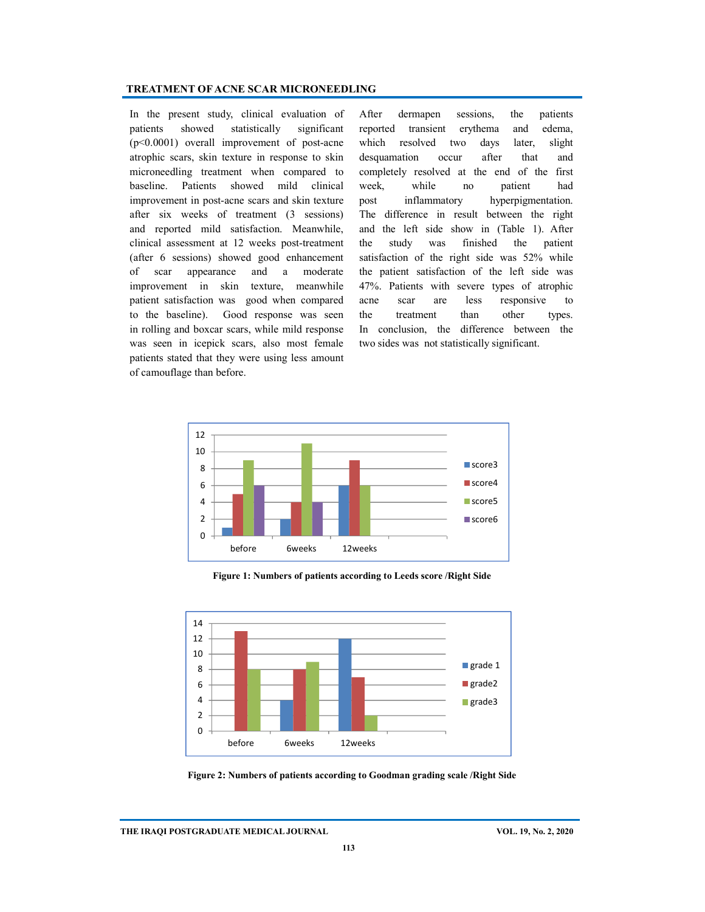In the present study, clinical evaluation of patients showed statistically significant (p<0.0001) overall improvement of post-acne atrophic scars, skin texture in response to skin microneedling treatment when compared to baseline. Patients showed mild clinical improvement in post-acne scars and skin texture after six weeks of treatment (3 sessions) and reported mild satisfaction. Meanwhile, clinical assessment at 12 weeks post-treatment (after 6 sessions) showed good enhancement of scar appearance and a moderate improvement in skin texture, meanwhile patient satisfaction was good when compared to the baseline). Good response was seen in rolling and boxcar scars, while mild response was seen in icepick scars, also most female patients stated that they were using less amount of camouflage than before.

After dermapen sessions, the patients reported transient erythema and edema, which resolved two days later, slight desquamation occur after that and completely resolved at the end of the first week, while no patient had post inflammatory hyperpigmentation. The difference in result between the right and the left side show in (Table 1). After the study was finished the patient satisfaction of the right side was 52% while the patient satisfaction of the left side was 47%. Patients with severe types of atrophic acne scar are less responsive to the treatment than other types. In conclusion, the difference between the two sides was not statistically significant.



**Figure 1: Numbers of patients according to Leeds score /Right Side**



**Figure 2: Numbers of patients according to Goodman grading scale /Right Side**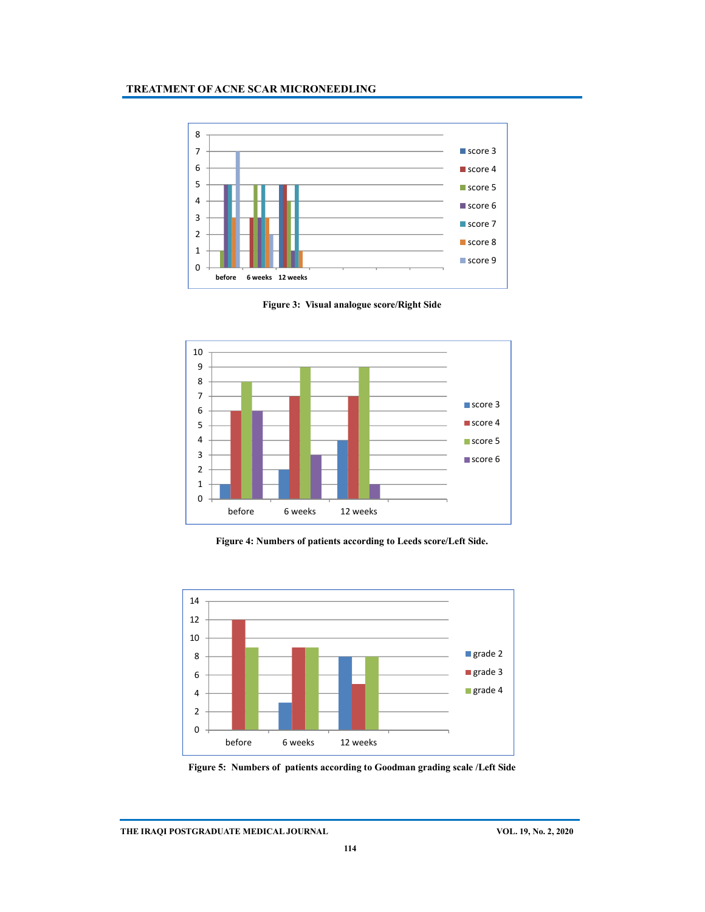

**Figure 3: Visual analogue score/Right Side**



**Figure 4: Numbers of patients according to Leeds score/Left Side.**



**Figure 5: Numbers of patients according to Goodman grading scale /Left Side**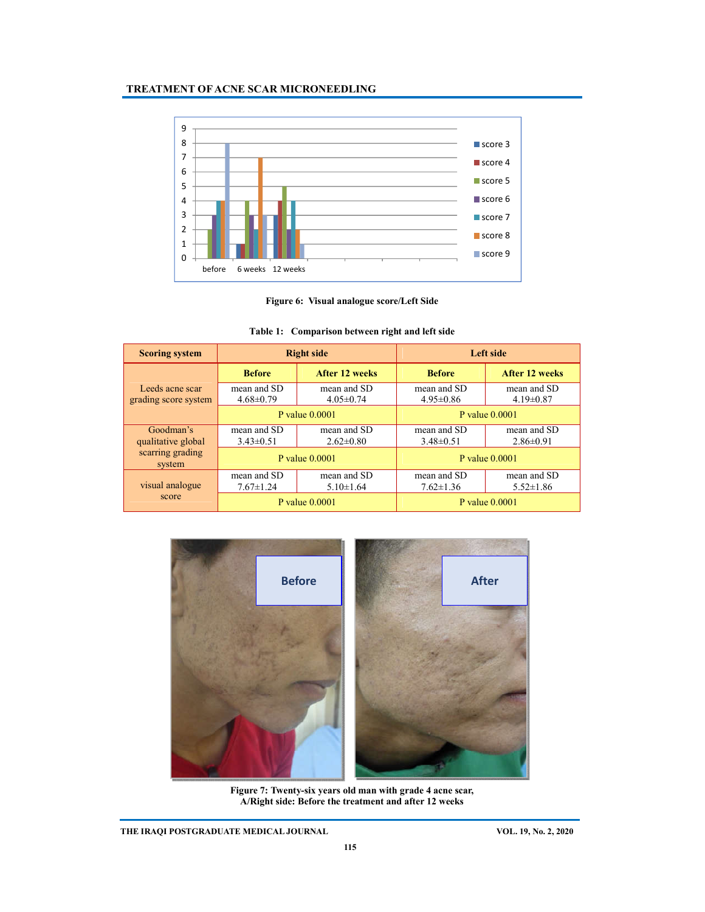



| <b>Scoring system</b>                   | <b>Right side</b>              |                                | Left side                      |                                |
|-----------------------------------------|--------------------------------|--------------------------------|--------------------------------|--------------------------------|
|                                         | <b>Before</b>                  | <b>After 12 weeks</b>          | <b>Before</b>                  | After 12 weeks                 |
| Leeds acne scar<br>grading score system | mean and SD<br>$4.68 \pm 0.79$ | mean and SD<br>$4.05 \pm 0.74$ | mean and SD<br>$4.95 \pm 0.86$ | mean and SD<br>$4.19 \pm 0.87$ |
|                                         | P value $0.0001$               |                                | P value $0.0001$               |                                |
| Goodman's                               | mean and SD                    | mean and SD                    | mean and SD                    | mean and SD                    |
| qualitative global                      | $3.43\pm0.51$                  | $2.62 \pm 0.80$                | $3.48 \pm 0.51$                | $2.86 \pm 0.91$                |
| scarring grading<br>system              | P value $0.0001$               |                                | P value $0.0001$               |                                |
|                                         | mean and SD                    | mean and SD                    | mean and SD                    | mean and SD                    |
| visual analogue                         | $7.67 \pm 1.24$                | $5.10 \pm 1.64$                | $7.62 \pm 1.36$                | $5.52 \pm 1.86$                |
| score                                   | P value 0.0001                 |                                | P value $0.0001$               |                                |

# **Table 1: Comparison between right and left side**



**Figure 7: Twenty-six years old man with grade 4 acne scar, A/Right side: Before the treatment and after 12 weeks**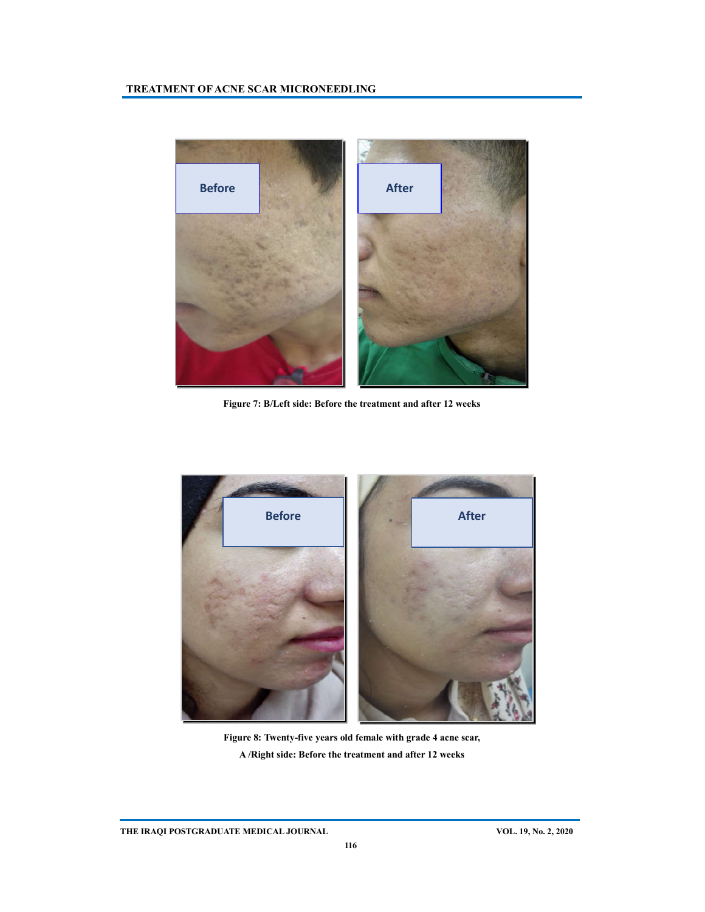

**Figure 7: B/Left side: Before the treatment and after 12 weeks** 



**Figure 8: Twenty-five years old female with grade 4 acne scar, A /Right side: Before the treatment and after 12 weeks**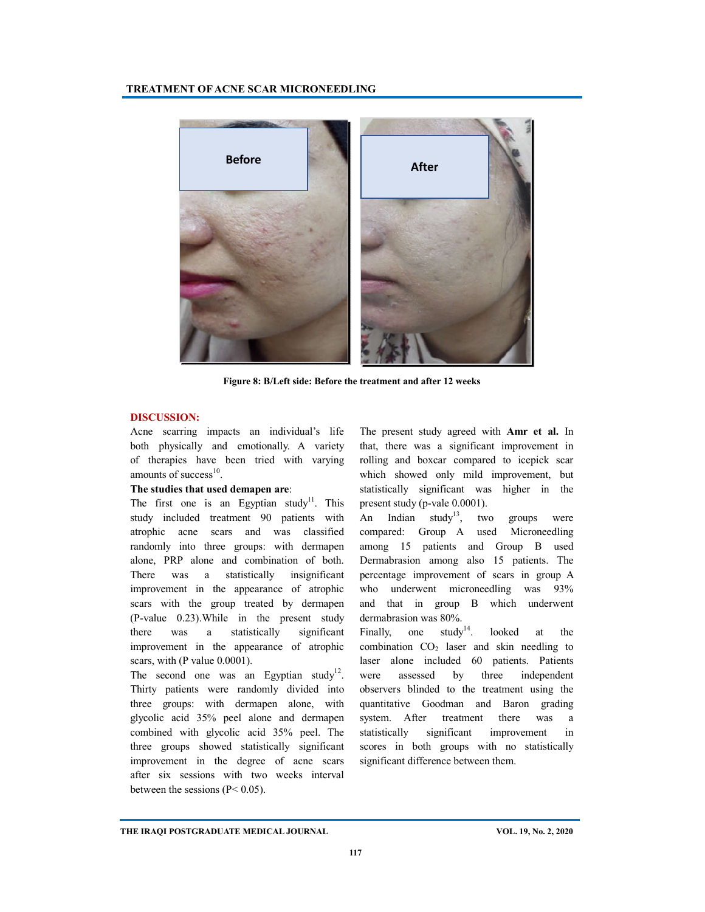

**Figure 8: B/Left side: Before the treatment and after 12 weeks** 

### **DISCUSSION:**

Acne scarring impacts an individual's life both physically and emotionally. A variety of therapies have been tried with varying amounts of success $10$ .

### **The studies that used demapen are**:

The first one is an Egyptian study<sup>11</sup>. This study included treatment 90 patients with atrophic acne scars and was classified randomly into three groups: with dermapen alone, PRP alone and combination of both. There was a statistically insignificant improvement in the appearance of atrophic scars with the group treated by dermapen (P-value 0.23).While in the present study there was a statistically significant improvement in the appearance of atrophic scars, with (P value 0.0001).

The second one was an Egyptian study<sup>12</sup>. Thirty patients were randomly divided into three groups: with dermapen alone, with glycolic acid 35% peel alone and dermapen combined with glycolic acid 35% peel. The three groups showed statistically significant improvement in the degree of acne scars after six sessions with two weeks interval between the sessions (P< 0.05).

The present study agreed with **Amr et al.** In that, there was a significant improvement in rolling and boxcar compared to icepick scar which showed only mild improvement, but statistically significant was higher in the present study (p-vale 0.0001).

An Indian study<sup>13</sup>, two groups were compared: Group A used Microneedling among 15 patients and Group B used Dermabrasion among also 15 patients. The percentage improvement of scars in group A who underwent microneedling was  $93\%$ and that in group B which underwent dermabrasion was 80%.

Finally, one  $study<sup>14</sup>$ . looked at the combination  $CO<sub>2</sub>$  laser and skin needling to laser alone included 60 patients. Patients were assessed by three independent observers blinded to the treatment using the quantitative Goodman and Baron grading system. After treatment there was a statistically significant improvement in scores in both groups with no statistically significant difference between them.